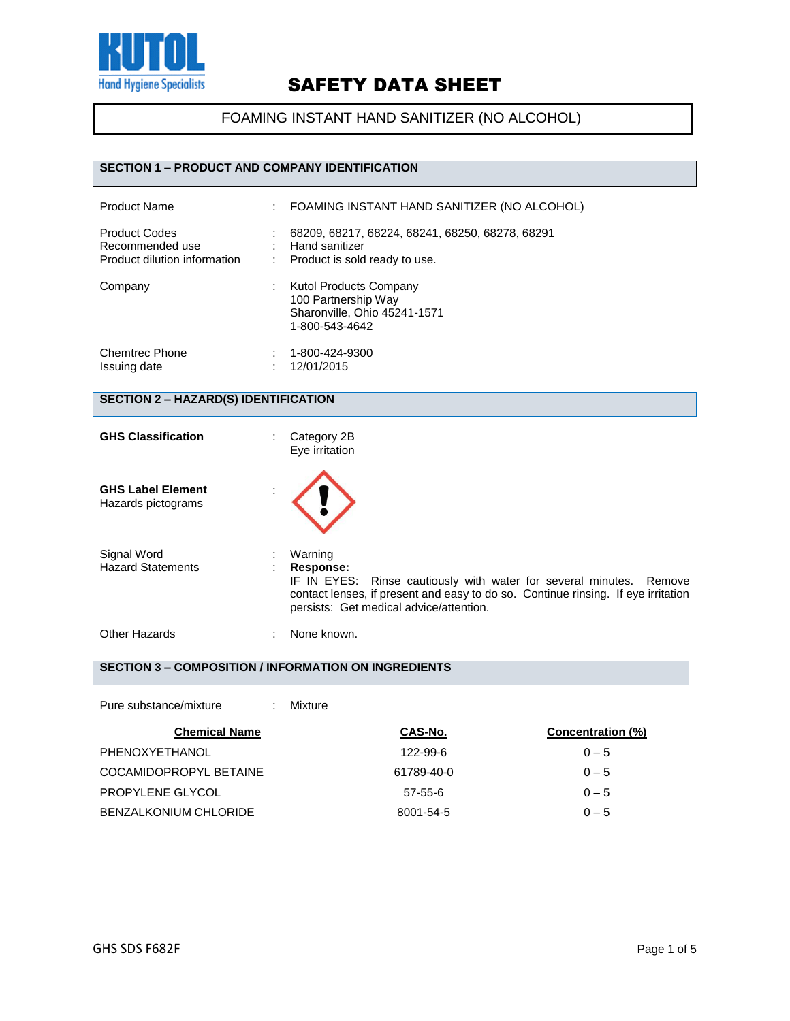

### FOAMING INSTANT HAND SANITIZER (NO ALCOHOL)

#### **SECTION 1 – PRODUCT AND COMPANY IDENTIFICATION**

| <b>Product Name</b>                                                     | FOAMING INSTANT HAND SANITIZER (NO ALCOHOL)                                                            |
|-------------------------------------------------------------------------|--------------------------------------------------------------------------------------------------------|
| <b>Product Codes</b><br>Recommended use<br>Product dilution information | 68209, 68217, 68224, 68241, 68250, 68278, 68291<br>Hand sanitizer<br>Product is sold ready to use.     |
| Company                                                                 | <b>Kutol Products Company</b><br>100 Partnership Way<br>Sharonville, Ohio 45241-1571<br>1-800-543-4642 |
| <b>Chemtrec Phone</b><br>Issuing date                                   | 1-800-424-9300<br>12/01/2015                                                                           |

#### **SECTION 2 – HAZARD(S) IDENTIFICATION**

| <b>GHS Classification</b>                      | Category 2B<br>Eye irritation                                                                                                                                                                                               |  |
|------------------------------------------------|-----------------------------------------------------------------------------------------------------------------------------------------------------------------------------------------------------------------------------|--|
| <b>GHS Label Element</b><br>Hazards pictograms |                                                                                                                                                                                                                             |  |
| Signal Word<br><b>Hazard Statements</b>        | Warning<br>Response:<br>IF IN EYES: Rinse cautiously with water for several minutes. Remove<br>contact lenses, if present and easy to do so. Continue rinsing. If eye irritation<br>persists: Get medical advice/attention. |  |
| Other Hazards                                  | None known.                                                                                                                                                                                                                 |  |

### **SECTION 3 – COMPOSITION / INFORMATION ON INGREDIENTS**

| Pure substance/mixture<br>÷  | Mixture       |                   |
|------------------------------|---------------|-------------------|
| <b>Chemical Name</b>         | CAS-No.       | Concentration (%) |
| PHENOXYETHANOL               | 122-99-6      | $0 - 5$           |
| COCAMIDOPROPYL BETAINE       | 61789-40-0    | $0 - 5$           |
| PROPYLENE GLYCOL             | $57 - 55 - 6$ | $0 - 5$           |
| <b>BENZALKONIUM CHLORIDE</b> | 8001-54-5     | $0 - 5$           |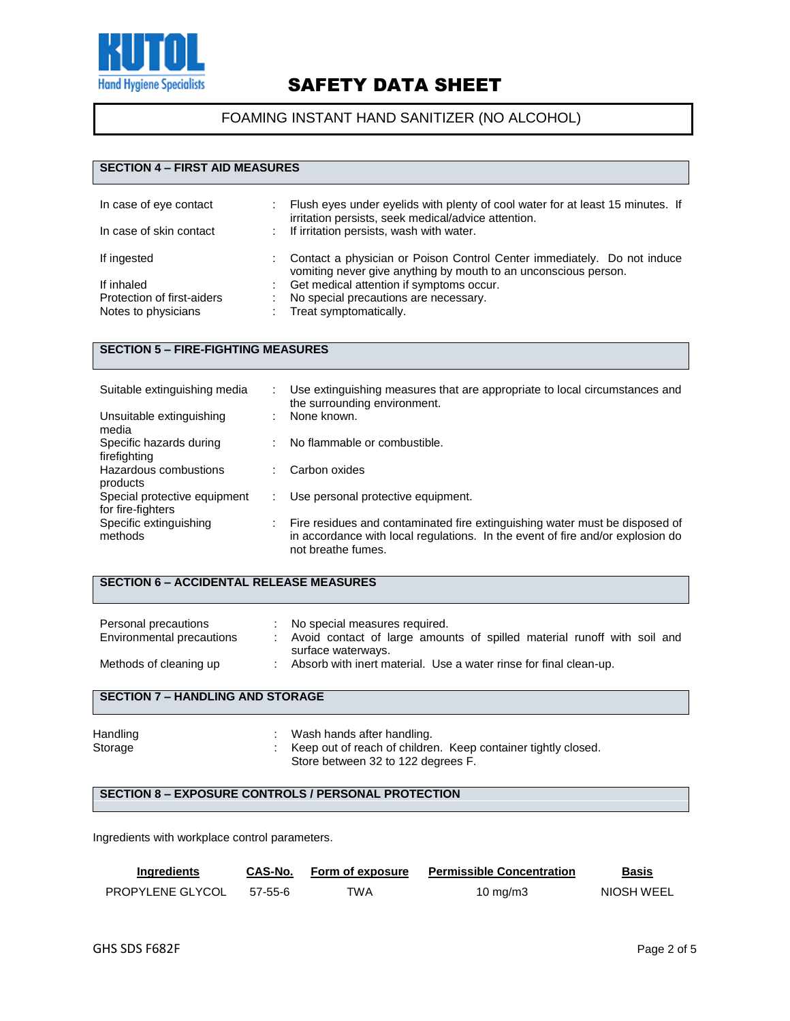

### FOAMING INSTANT HAND SANITIZER (NO ALCOHOL)

#### **SECTION 4 – FIRST AID MEASURES**

| In case of eye contact<br>In case of skin contact | ÷. | Flush eyes under eyelids with plenty of cool water for at least 15 minutes. If<br>irritation persists, seek medical/advice attention.<br>If irritation persists, wash with water. |
|---------------------------------------------------|----|-----------------------------------------------------------------------------------------------------------------------------------------------------------------------------------|
| If ingested                                       |    | Contact a physician or Poison Control Center immediately. Do not induce<br>vomiting never give anything by mouth to an unconscious person.                                        |
| If inhaled                                        |    | Get medical attention if symptoms occur.                                                                                                                                          |
| Protection of first-aiders                        |    | No special precautions are necessary.                                                                                                                                             |
| Notes to physicians                               |    | Treat symptomatically.                                                                                                                                                            |

#### **SECTION 5 – FIRE-FIGHTING MEASURES**

| Suitable extinguishing media                      | ÷. | Use extinguishing measures that are appropriate to local circumstances and<br>the surrounding environment.                                                                          |
|---------------------------------------------------|----|-------------------------------------------------------------------------------------------------------------------------------------------------------------------------------------|
| Unsuitable extinguishing<br>media                 |    | None known.                                                                                                                                                                         |
| Specific hazards during<br>firefighting           |    | No flammable or combustible.                                                                                                                                                        |
| Hazardous combustions<br>products                 | ٠  | Carbon oxides                                                                                                                                                                       |
| Special protective equipment<br>for fire-fighters |    | Use personal protective equipment.                                                                                                                                                  |
| Specific extinguishing<br>methods                 |    | Fire residues and contaminated fire extinguishing water must be disposed of<br>in accordance with local regulations. In the event of fire and/or explosion do<br>not breathe fumes. |

### **SECTION 6 – ACCIDENTAL RELEASE MEASURES**

| Personal precautions<br>Environmental precautions | No special measures required.<br>Avoid contact of large amounts of spilled material runoff with soil and<br>surface waterways. |
|---------------------------------------------------|--------------------------------------------------------------------------------------------------------------------------------|
| Methods of cleaning up                            | Absorb with inert material. Use a water rinse for final clean-up.                                                              |

### **SECTION 7 – HANDLING AND STORAGE**

| Handling | Wash hands after handling.                                    |
|----------|---------------------------------------------------------------|
| Storage  | Keep out of reach of children. Keep container tightly closed. |
|          | Store between 32 to 122 degrees F.                            |

### **SECTION 8 – EXPOSURE CONTROLS / PERSONAL PROTECTION**

Ingredients with workplace control parameters.

| <b>Ingredients</b>      | CAS-No. | Form of exposure | <b>Permissible Concentration</b> | <b>Basis</b> |
|-------------------------|---------|------------------|----------------------------------|--------------|
| <b>PROPYLENE GLYCOL</b> | 57-55-6 | TWA              | 10 mg/m3                         | NIOSH WEEL   |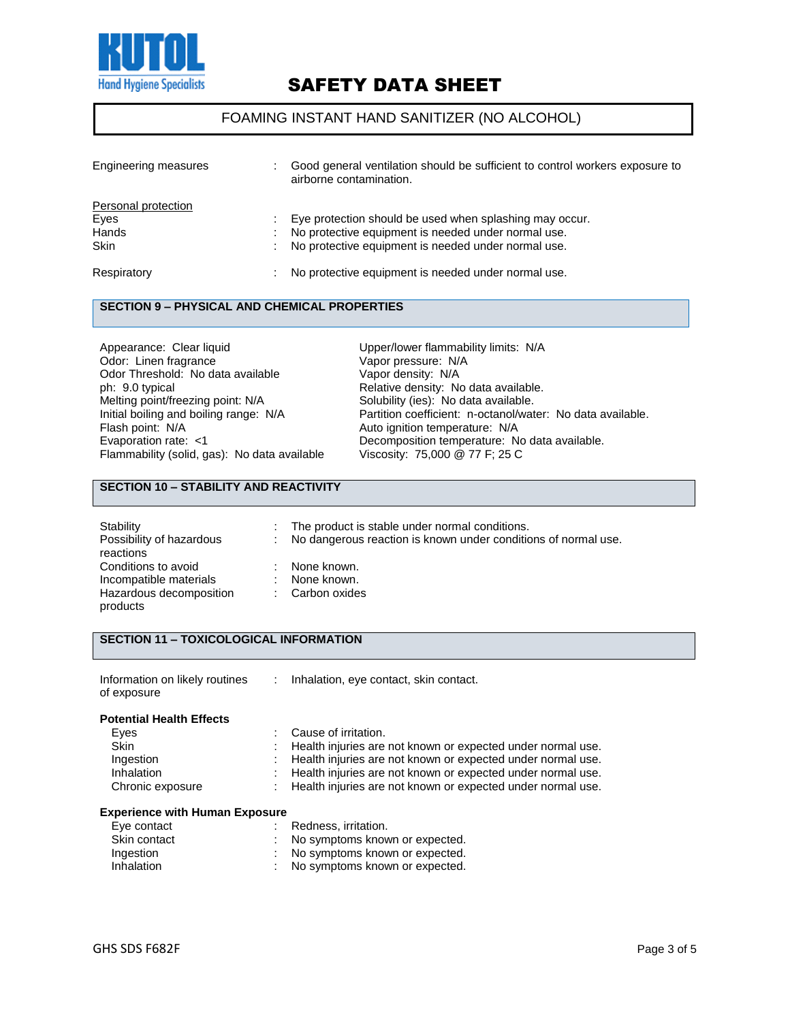

#### FOAMING INSTANT HAND SANITIZER (NO ALCOHOL)

| Engineering measures | Good general ventilation should be sufficient to control workers exposure to<br>airborne contamination. |
|----------------------|---------------------------------------------------------------------------------------------------------|
| Personal protection  |                                                                                                         |
| Eyes                 | Eye protection should be used when splashing may occur.                                                 |
| Hands                | No protective equipment is needed under normal use.                                                     |
| Skin                 | No protective equipment is needed under normal use.                                                     |
| Respiratory          | No protective equipment is needed under normal use.                                                     |

#### **SECTION 9 – PHYSICAL AND CHEMICAL PROPERTIES**

Appearance: Clear liquid **Accord Entity Clear liquid** Upper/lower flammability limits: N/A Odor: Linen fragrance Vapor pressure: N/A Odor Threshold: No data available Vapor density: N/A<br>
ph: 9.0 typical Capaca Relative density: No ph: 9.0 typical **phenomical Relative density:** No data available.<br>
Melting point/freezing point: N/A **Relative Solubility (ies):** No data available. Melting point/freezing point: N/A Solubility (ies): No data available.<br>
Initial boiling and boiling range: N/A Partition coefficient: n-octanol/wat Flash point: N/A<br>
Evaporation rate: <1 (a) Auto ignition temperature: N/A<br>
Decomposition temperature: N Flammability (solid, gas): No data available

Initial boiling and boiling range: N/A Partition coefficient: n-octanol/water: No data available.<br>Flash point: N/A Auto ignition temperature: N/A Decomposition temperature: No data available.<br>Viscosity: 75,000 @ 77 F; 25 C

#### **SECTION 10 – STABILITY AND REACTIVITY**

| Stability<br>Possibility of hazardous<br>reactions                                   | t i | The product is stable under normal conditions.<br>No dangerous reaction is known under conditions of normal use. |
|--------------------------------------------------------------------------------------|-----|------------------------------------------------------------------------------------------------------------------|
| Conditions to avoid<br>Incompatible materials<br>Hazardous decomposition<br>products |     | None known.<br>None known.<br>Carbon oxides                                                                      |

#### **SECTION 11 – TOXICOLOGICAL INFORMATION**

| Information on likely routines | Inhalation, eye contact, skin contact. |
|--------------------------------|----------------------------------------|
| of exposure                    |                                        |

| <b>Potential Health Effects</b> |                                                               |
|---------------------------------|---------------------------------------------------------------|
| Eyes                            | : Cause of irritation.                                        |
| <b>Skin</b>                     | Health injuries are not known or expected under normal use.   |
| Ingestion                       | Health injuries are not known or expected under normal use.   |
| Inhalation                      | : Health injuries are not known or expected under normal use. |
| Chronic exposure                | : Health injuries are not known or expected under normal use. |
|                                 |                                                               |

#### **Experience with Human Exposure**

| Eye contact  | Redness, irritation.             |
|--------------|----------------------------------|
| Skin contact | : No symptoms known or expected. |
| Ingestion    | No symptoms known or expected.   |
| Inhalation   | No symptoms known or expected.   |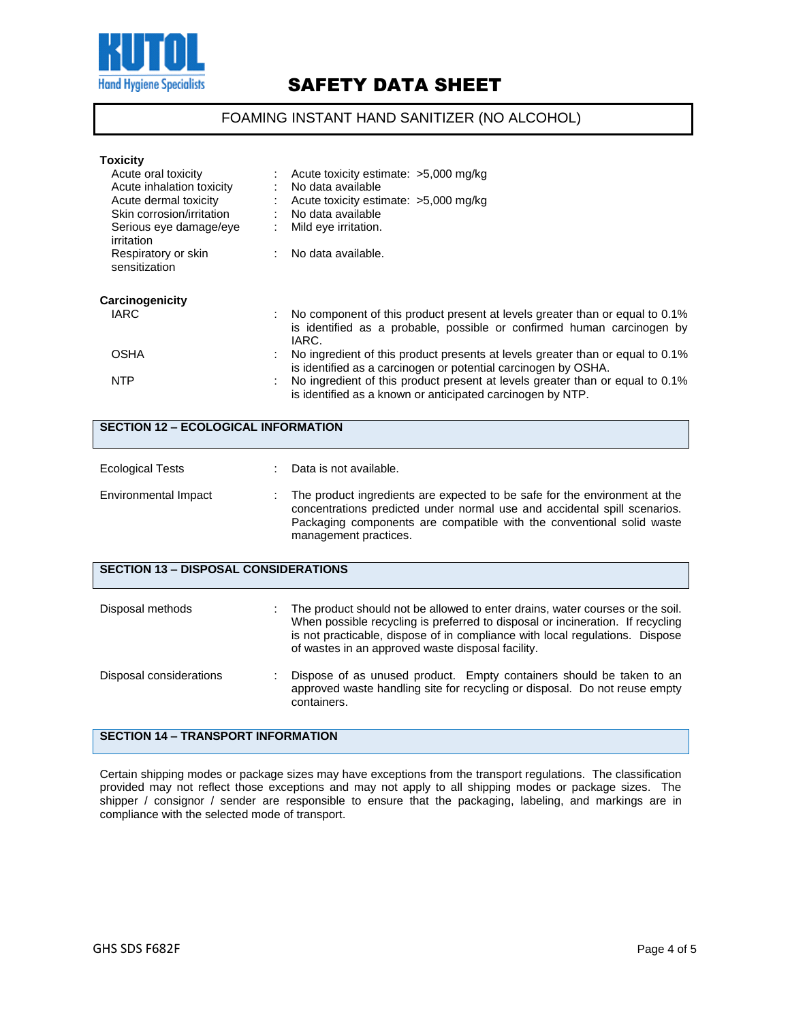

### FOAMING INSTANT HAND SANITIZER (NO ALCOHOL)

| <b>Toxicity</b>                      |                                                                                                                                                                 |
|--------------------------------------|-----------------------------------------------------------------------------------------------------------------------------------------------------------------|
| Acute oral toxicity                  | Acute toxicity estimate: >5,000 mg/kg                                                                                                                           |
| Acute inhalation toxicity            | No data available                                                                                                                                               |
| Acute dermal toxicity                | Acute toxicity estimate: >5,000 mg/kg                                                                                                                           |
| Skin corrosion/irritation            | No data available                                                                                                                                               |
| Serious eye damage/eye<br>irritation | Mild eye irritation.                                                                                                                                            |
| Respiratory or skin<br>sensitization | No data available.                                                                                                                                              |
| Carcinogenicity                      |                                                                                                                                                                 |
| IARC                                 | No component of this product present at levels greater than or equal to 0.1%<br>is identified as a probable, possible or confirmed human carcinogen by<br>IARC. |
| <b>OSHA</b>                          | No ingredient of this product presents at levels greater than or equal to 0.1%<br>is identified as a carcinogen or potential carcinogen by OSHA.                |
| <b>NTP</b>                           | No ingredient of this product present at levels greater than or equal to 0.1%<br>is identified as a known or anticipated carcinogen by NTP.                     |

| <b>SECTION 12 - ECOLOGICAL INFORMATION</b>  |  |                                                                                                                                                                                                                                                                                                      |  |
|---------------------------------------------|--|------------------------------------------------------------------------------------------------------------------------------------------------------------------------------------------------------------------------------------------------------------------------------------------------------|--|
| <b>Ecological Tests</b>                     |  | Data is not available.                                                                                                                                                                                                                                                                               |  |
| Environmental Impact                        |  | The product ingredients are expected to be safe for the environment at the<br>concentrations predicted under normal use and accidental spill scenarios.<br>Packaging components are compatible with the conventional solid waste<br>management practices.                                            |  |
| <b>SECTION 13 - DISPOSAL CONSIDERATIONS</b> |  |                                                                                                                                                                                                                                                                                                      |  |
| Disposal methods                            |  | The product should not be allowed to enter drains, water courses or the soil.<br>When possible recycling is preferred to disposal or incineration. If recycling<br>is not practicable, dispose of in compliance with local regulations. Dispose<br>of wastes in an approved waste disposal facility. |  |
| Disposal considerations                     |  | Dispose of as unused product. Empty containers should be taken to an<br>approved waste handling site for recycling or disposal. Do not reuse empty<br>containers.                                                                                                                                    |  |
| <b>SECTION 14 - TRANSPORT INFORMATION</b>   |  |                                                                                                                                                                                                                                                                                                      |  |

Certain shipping modes or package sizes may have exceptions from the transport regulations. The classification provided may not reflect those exceptions and may not apply to all shipping modes or package sizes. The shipper / consignor / sender are responsible to ensure that the packaging, labeling, and markings are in compliance with the selected mode of transport.